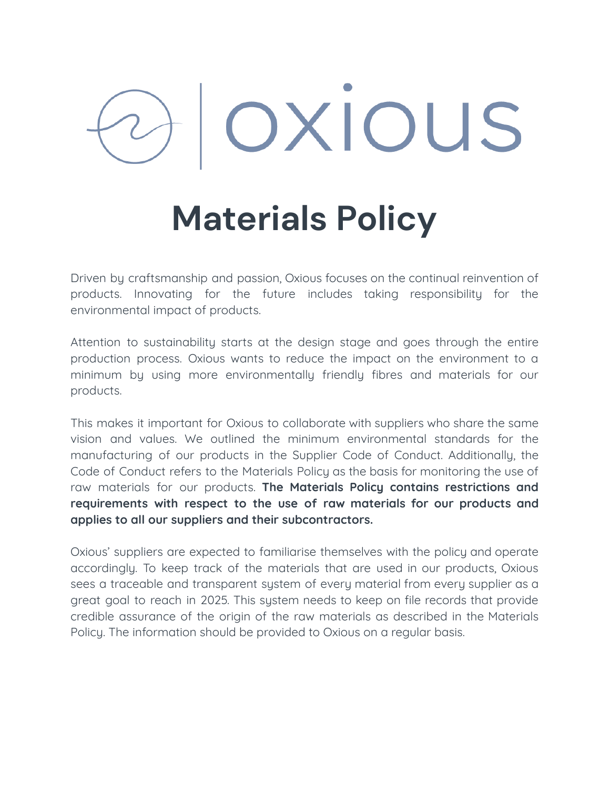# OXIOUS

## **Materials Policy**

Driven by craftsmanship and passion, Oxious focuses on the continual reinvention of products. Innovating for the future includes taking responsibility for the environmental impact of products.

Attention to sustainability starts at the design stage and goes through the entire production process. Oxious wants to reduce the impact on the environment to a minimum by using more environmentally friendly fibres and materials for our products.

This makes it important for Oxious to collaborate with suppliers who share the same vision and values. We outlined the minimum environmental standards for the manufacturing of our products in the Supplier Code of Conduct. Additionally, the Code of Conduct refers to the Materials Policy as the basis for monitoring the use of raw materials for our products. **The Materials Policy contains restrictions and requirements with respect to the use of raw materials for our products and applies to all our suppliers and their subcontractors.**

Oxious' suppliers are expected to familiarise themselves with the policy and operate accordingly. To keep track of the materials that are used in our products, Oxious sees a traceable and transparent system of every material from every supplier as a great goal to reach in 2025. This system needs to keep on file records that provide credible assurance of the origin of the raw materials as described in the Materials Policy. The information should be provided to Oxious on a regular basis.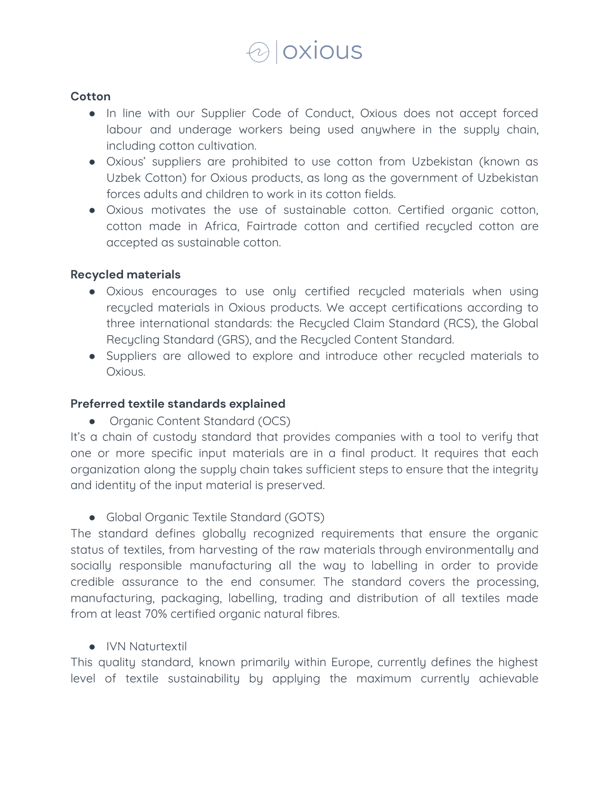

#### **Cotton**

- In line with our Supplier Code of Conduct, Oxious does not accept forced labour and underage workers being used anywhere in the supply chain, including cotton cultivation.
- Oxious' suppliers are prohibited to use cotton from Uzbekistan (known as Uzbek Cotton) for Oxious products, as long as the government of Uzbekistan forces adults and children to work in its cotton fields.
- Oxious motivates the use of sustainable cotton. Certified organic cotton, cotton made in Africa, Fairtrade cotton and certified recycled cotton are accepted as sustainable cotton.

#### **Recycled materials**

- Oxious encourages to use only certified recycled materials when using recycled materials in Oxious products. We accept certifications according to three international standards: the Recycled Claim Standard (RCS), the Global Recycling Standard (GRS), and the Recycled Content Standard.
- Suppliers are allowed to explore and introduce other recycled materials to Oxious.

#### **Preferred textile standards explained**

• Organic Content Standard (OCS)

It's a chain of custody standard that provides companies with a tool to verify that one or more specific input materials are in a final product. It requires that each organization along the supply chain takes sufficient steps to ensure that the integrity and identity of the input material is preserved.

• Global Organic Textile Standard (GOTS)

The standard defines globally recognized requirements that ensure the organic status of textiles, from harvesting of the raw materials through environmentally and socially responsible manufacturing all the way to labelling in order to provide credible assurance to the end consumer. The standard covers the processing, manufacturing, packaging, labelling, trading and distribution of all textiles made from at least 70% certified organic natural fibres.

● IVN Naturtextil

This quality standard, known primarily within Europe, currently defines the highest level of textile sustainability by applying the maximum currently achievable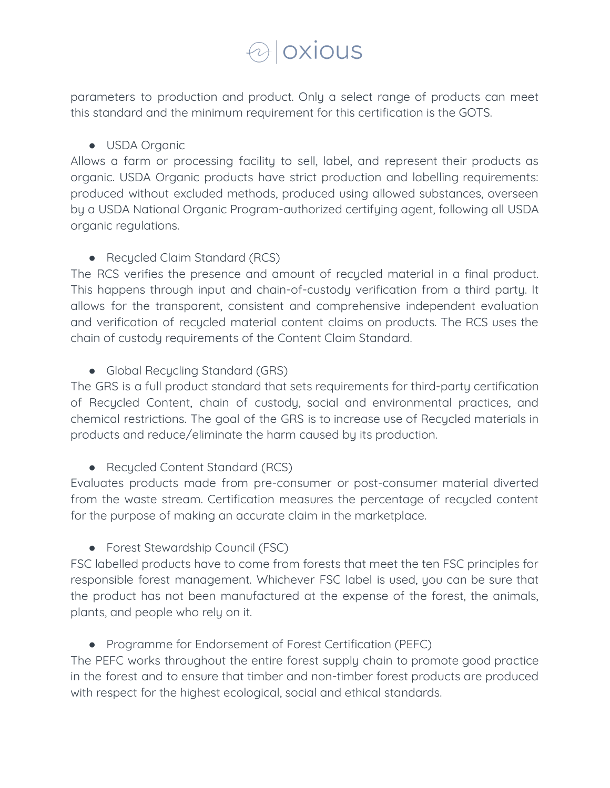### *Oxious*

parameters to production and product. Only a select range of products can meet this standard and the minimum requirement for this certification is the GOTS.

#### ● USDA Organic

Allows a farm or processing facility to sell, label, and represent their products as organic. USDA Organic products have strict production and labelling requirements: produced without excluded methods, produced using allowed substances, overseen by a USDA National Organic Program-authorized certifying agent, following all USDA organic regulations.

#### • Recycled Claim Standard (RCS)

The RCS verifies the presence and amount of recycled material in a final product. This happens through input and chain-of-custody verification from a third party. It allows for the transparent, consistent and comprehensive independent evaluation and verification of recycled material content claims on products. The RCS uses the chain of custody requirements of the Content Claim Standard.

#### • Global Recycling Standard (GRS)

The GRS is a full product standard that sets requirements for third-party certification of Recycled Content, chain of custody, social and environmental practices, and chemical restrictions. The goal of the GRS is to increase use of Recycled materials in products and reduce/eliminate the harm caused by its production.

#### • Recycled Content Standard (RCS)

Evaluates products made from pre-consumer or post-consumer material diverted from the waste stream. Certification measures the percentage of recycled content for the purpose of making an accurate claim in the marketplace.

#### ● Forest Stewardship Council (FSC)

FSC labelled products have to come from forests that meet the ten FSC principles for responsible forest management. Whichever FSC label is used, you can be sure that the product has not been manufactured at the expense of the forest, the animals, plants, and people who rely on it.

#### ● Programme for Endorsement of Forest Certification (PEFC)

The PEFC works throughout the entire forest supply chain to promote good practice in the forest and to ensure that timber and non-timber forest products are produced with respect for the highest ecological, social and ethical standards.